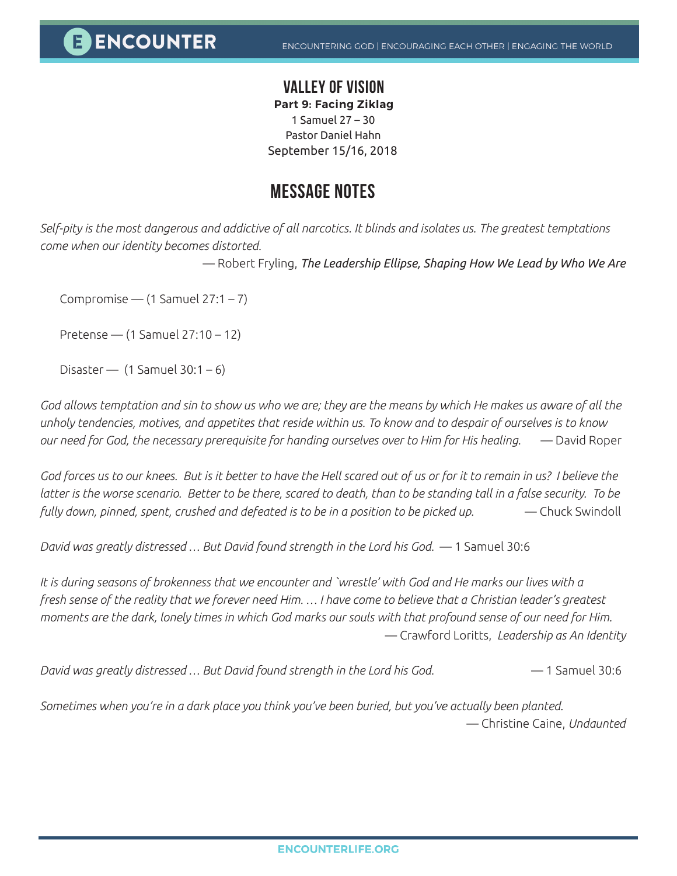## **VALLEY OF VISION**

**Part 9: Facing Ziklag** 1 Samuel 27 – 30 Pastor Daniel Hahn

September 15/16, 2018

## **MESSAGE NOTES**

*Self-pity is the most dangerous and addictive of all narcotics. It blinds and isolates us. The greatest temptations come when our identity becomes distorted.*

— Robert Fryling, *The Leadership Ellipse, Shaping How We Lead by Who We Are*

Compromise —  $(1$  Samuel 27:1 – 7)

Pretense — (1 Samuel 27:10 – 12)

Disaster —  $(1$  Samuel 30:1 – 6)

*God allows temptation and sin to show us who we are; they are the means by which He makes us aware of all the unholy tendencies, motives, and appetites that reside within us. To know and to despair of ourselves is to know our need for God, the necessary prerequisite for handing ourselves over to Him for His healing.* — David Roper

God forces us to our knees. But is it better to have the Hell scared out of us or for it to remain in us? I believe the *latter is the worse scenario. Better to be there, scared to death, than to be standing tall in a false security. To be fully down, pinned, spent, crushed and defeated is to be in a position to be picked up.* — Chuck Swindoll

*David was greatly distressed … But David found strength in the Lord his God.* — 1 Samuel 30:6

*It is during seasons of brokenness that we encounter and `wrestle' with God and He marks our lives with a fresh sense of the reality that we forever need Him. … I have come to believe that a Christian leader's greatest moments are the dark, lonely times in which God marks our souls with that profound sense of our need for Him.* — Crawford Loritts, *Leadership as An Identity*

*David was greatly distressed … But David found strength in the Lord his God.* — 1 Samuel 30:6

*Sometimes when you're in a dark place you think you've been buried, but you've actually been planted*. — Christine Caine, *Undaunted*